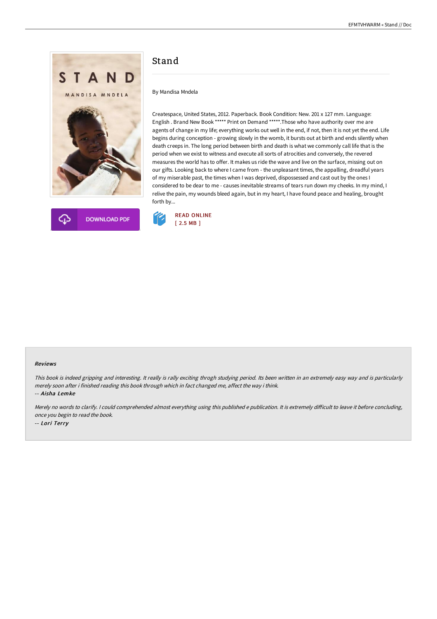



# Stand

By Mandisa Mndela

Createspace, United States, 2012. Paperback. Book Condition: New. 201 x 127 mm. Language: English . Brand New Book \*\*\*\*\* Print on Demand \*\*\*\*\*.Those who have authority over me are agents of change in my life; everything works out well in the end, if not, then it is not yet the end. Life begins during conception - growing slowly in the womb, it bursts out at birth and ends silently when death creeps in. The long period between birth and death is what we commonly call life that is the period when we exist to witness and execute all sorts of atrocities and conversely, the revered measures the world has to offer. It makes us ride the wave and live on the surface, missing out on our gifts. Looking back to where I came from - the unpleasant times, the appalling, dreadful years of my miserable past, the times when I was deprived, dispossessed and cast out by the ones I considered to be dear to me - causes inevitable streams of tears run down my cheeks. In my mind, I relive the pain, my wounds bleed again, but in my heart, I have found peace and healing, brought forth by...



#### Reviews

This book is indeed gripping and interesting. It really is rally exciting throgh studying period. Its been written in an extremely easy way and is particularly merely soon after i finished reading this book through which in fact changed me, affect the way i think. -- Aisha Lemke

Merely no words to clarify. I could comprehended almost everything using this published e publication. It is extremely difficult to leave it before concluding, once you begin to read the book. -- Lori Terry